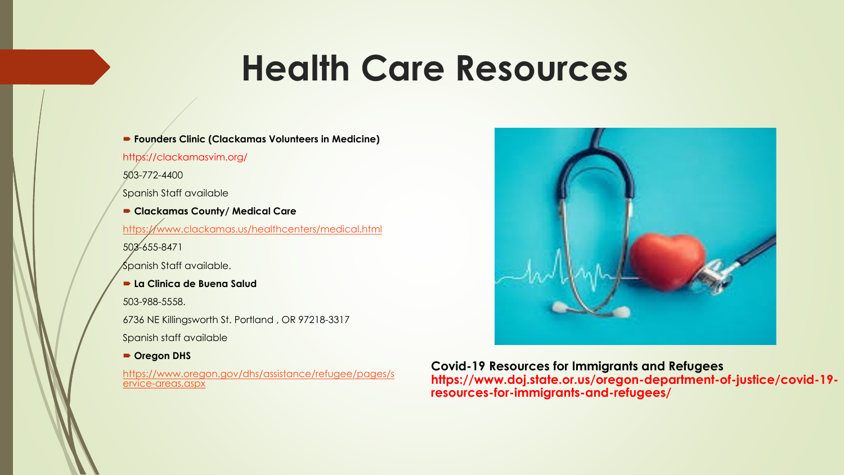### **Health Care Resources**

**Founders Clinic (Clackamas Volunteers in Medicine)**

https://clackamasvim.org/

503-772-4400

Spanish Staff available

 **Clackamas County/ Medical Care** <https://www.clackamas.us/healthcenters/medical.html> 503-655-8471 Spanish Staff available. **La Clinica de Buena Salud** 503-988-5558. 6736 NE Killingsworth St. Portland , OR 97218-3317 Spanish staff available

**Oregon DHS**

[https://www.oregon.gov/dhs/assistance/refugee/pages/s](https://www.oregon.gov/dhs/assistance/refugee/pages/service-areas.aspx) ervice-areas.aspx



**Covid-19 Resources for Immigrants and Refugees https://www.doj.state.or.us/oregon-department-of-justice/covid-19 resources-for-immigrants-and-refugees/**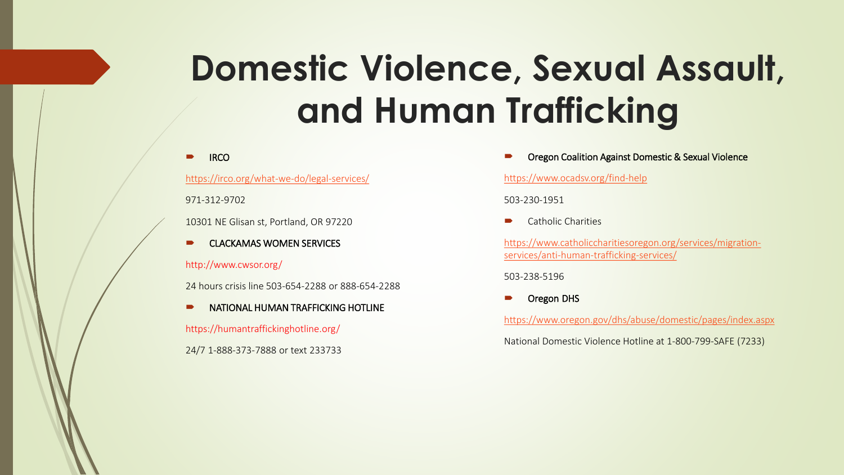# **Domestic Violence, Sexual Assault, and Human Trafficking**

#### **IRCO**

<https://irco.org/what-we-do/legal-services/>

971-312-9702

10301 NE Glisan st, Portland, OR 97220

**EXECUTE CLACKAMAS WOMEN SERVICES** 

#### http://www.cwsor.org/

24 hours crisis line 503-654-2288 or 888-654-2288

NATIONAL HUMAN TRAFFICKING HOTLINE

https://humantraffickinghotline.org/

24/7 1-888-373-7888 or text 233733

Oregon Coalition Against Domestic & Sexual Violence

#### <https://www.ocadsv.org/find-help>

503-230-1951

Catholic Charities

[https://www.catholiccharitiesoregon.org/services/migration](https://www.catholiccharitiesoregon.org/services/migration-services/anti-human-trafficking-services/)services/anti-human-trafficking-services/

503-238-5196

Oregon DHS

<https://www.oregon.gov/dhs/abuse/domestic/pages/index.aspx>

National Domestic Violence Hotline at 1-800-799-SAFE (7233)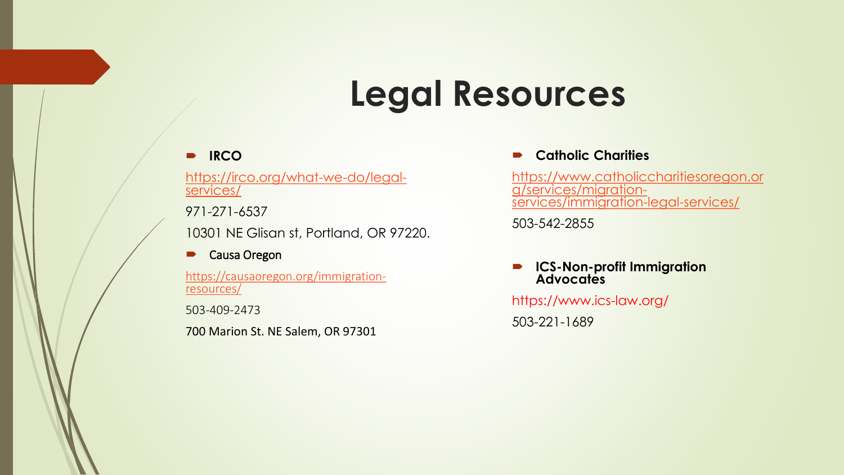## **Legal Resources**

### **IRCO**

[https://irco.org/what-we-do/legal-](https://irco.org/what-we-do/legal-services/)<br>services/

971-271-6537

10301 NE Glisan st, Portland, OR 97220.

#### **D** Causa Oregon

[https://causaoregon.org/immigration-](https://causaoregon.org/immigration-resources/) resources/

503-409-2473

700 Marion St. NE Salem, OR 97301

#### **Catholic Charities**

[https://www.catholiccharitiesoregon.or](https://www.catholiccharitiesoregon.org/services/migration-services/immigration-legal-services/) g/services/migration-<br>services/immigration-legal-services/

503-542-2855

 **ICS-Non-profit Immigration Advocates**

https://www.ics-law.org/

503-221-1689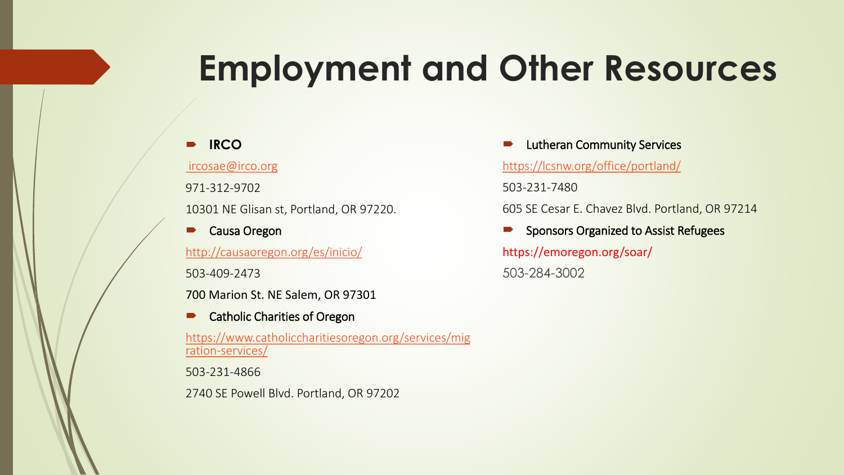## **Employment and Other Resources**

### **IRCO**

[ircosae@irco.org](mailto:ircosae@irco.org)

971-312-9702

10301 NE Glisan st, Portland, OR 97220.

**D** Causa Oregon <http://causaoregon.org/es/inicio/>

503-409-2473

700 Marion St. NE Salem, OR 97301

Catholic Charities of Oregon

[https://www.catholiccharitiesoregon.org/services/mig](https://www.catholiccharitiesoregon.org/services/migration-services/) ration-services/

503-231-4866

2740 SE Powell Blvd. Portland, OR 97202

 Lutheran Community Services <https://lcsnw.org/office/portland/>

503-231-7480

605 SE Cesar E. Chavez Blvd. Portland, OR 97214

 Sponsors Organized to Assist Refugees https://emoregon.org/soar/ 503-284-3002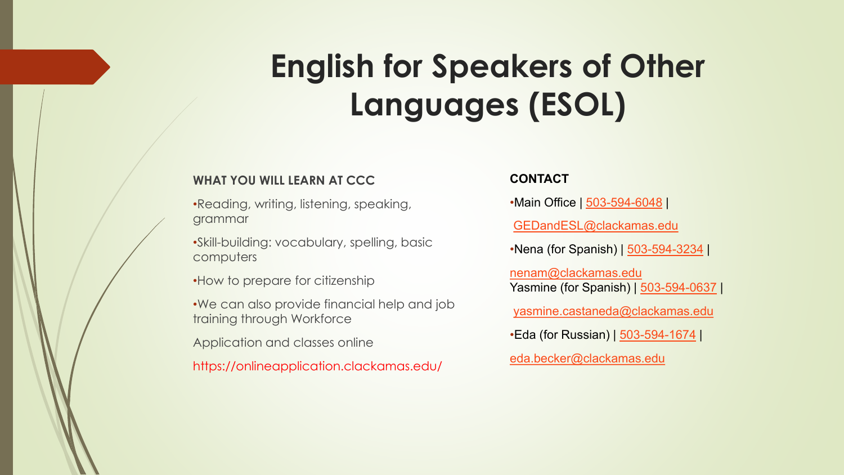## **English for Speakers of Other Languages (ESOL)**

#### **WHAT YOU WILL LEARN AT CCC**

- •Reading, writing, listening, speaking, grammar
- •Skill-building: vocabulary, spelling, basic computers
- •How to prepare for citizenship
- •We can also provide financial help and job training through Workforce
- Application and classes online
- https://onlineapplication.clackamas.edu/

#### **CONTACT**

•Main Office | [503-594-6048](tel:+15035946048) |

[GEDandESL@clackamas.edu](mailto:GEDandESL@clackamas.edu)

•Nena (for Spanish) | [503-594-3234](tel:+15035943234) |

[nenam@clackamas.edu](mailto:nenam@clackamas.edu) Yasmine (for Spanish) | [503-594-0637](tel:+15035940637) |

[yasmine.castaneda@clackamas.edu](mailto:yasmine.castaneda@clackamas.edu)

•Eda (for Russian) | [503-594-1674](tel:+15035941674) |

[eda.becker@clackamas.edu](mailto:eda.becker@clackamas.edu)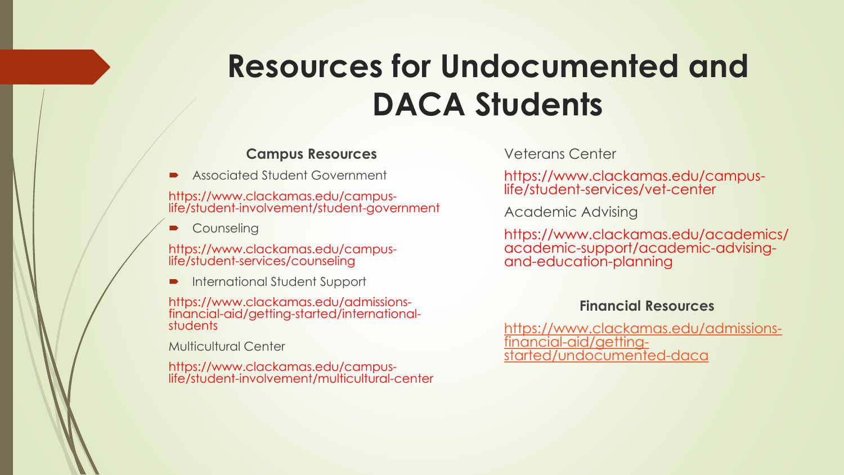## **Resources for Undocumented and DACA Students**

### **Campus Resources**

Associated Student Government

https://www.clackamas.edu/campus- life/student-involvement/student-government

**Counseling** 

https://www.clackamas.edu/campus- life/student-services/counseling

**International Student Support** 

https://www.clackamas.edu/admissions- financial-aid/getting-started/international- students

Multicultural Center

https://www.clackamas.edu/campus- life/student-involvement/multicultural-center

Veterans Center

https://www.clackamas.edu/campus- life/student-services/vet-center

Academic Advising

https://www.clackamas.edu/academics/ academic-support/academic-advising-<br>and-education-planning

### **Financial Resources**

[https://www.clackamas.edu/admissions-](https://www.clackamas.edu/admissions-financial-aid/getting-started/undocumented-daca)<br>financial-aid/getting-<br>started/undocumented-daca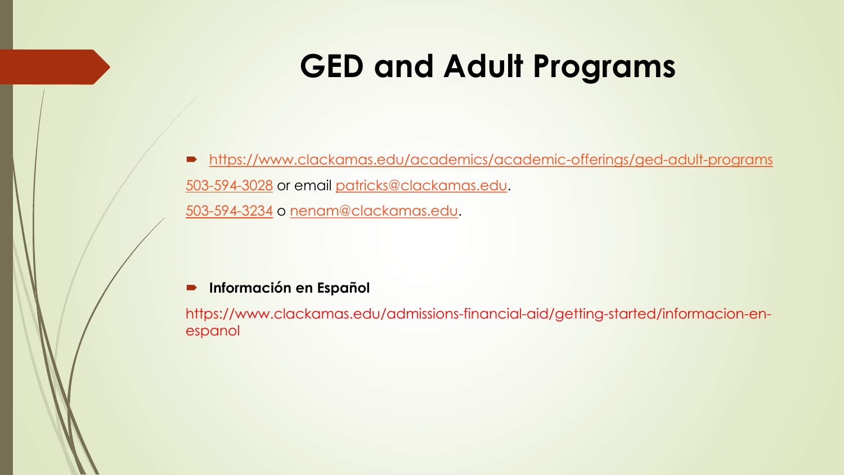### **GED and Adult Programs**

 <https://www.clackamas.edu/academics/academic-offerings/ged-adult-programs> [503-594-3028](tel:+15035943028) or email [patricks@clackamas.edu](mailto:patricks@clackamas.edu). [503-594-3234](tel:+15035943234) o [nenam@clackamas.edu.](mailto:nenam@clakamas.edu)

### **Información en Español**

https://www.clackamas.edu/admissions-financial-aid/getting-started/informacion-enespanol